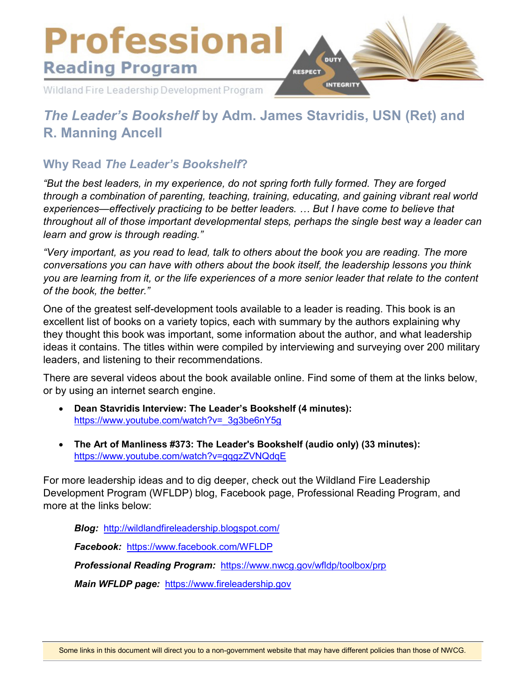

# *The Leader's Bookshelf* **by Adm. James Stavridis, USN (Ret) and R. Manning Ancell**

### **Why Read** *The Leader's Bookshelf***?**

*"But the best leaders, in my experience, do not spring forth fully formed. They are forged through a combination of parenting, teaching, training, educating, and gaining vibrant real world experiences—effectively practicing to be better leaders. … But I have come to believe that throughout all of those important developmental steps, perhaps the single best way a leader can learn and grow is through reading."*

*"Very important, as you read to lead, talk to others about the book you are reading. The more conversations you can have with others about the book itself, the leadership lessons you think you are learning from it, or the life experiences of a more senior leader that relate to the content of the book, the better."*

One of the greatest self-development tools available to a leader is reading. This book is an excellent list of books on a variety topics, each with summary by the authors explaining why they thought this book was important, some information about the author, and what leadership ideas it contains. The titles within were compiled by interviewing and surveying over 200 military leaders, and listening to their recommendations.

There are several videos about the book available online. Find some of them at the links below, or by using an internet search engine.

- **Dean Stavridis Interview: The Leader's Bookshelf (4 minutes):**  [https://www.youtube.com/watch?v=\\_3g3be6nY5g](https://www.youtube.com/watch?v=_3g3be6nY5g)
- **The Art of Manliness #373: The Leader's Bookshelf (audio only) (33 minutes):**  <https://www.youtube.com/watch?v=gqgzZVNQdqE>

For more leadership ideas and to dig deeper, check out the Wildland Fire Leadership Development Program (WFLDP) blog, Facebook page, Professional Reading Program, and more at the links below:

*Blog:* <http://wildlandfireleadership.blogspot.com/>

*Facebook:* <https://www.facebook.com/WFLDP>

*Professional Reading Program:* <https://www.nwcg.gov/wfldp/toolbox/prp>

*Main WFLDP page:* [https://www.fireleadership.gov](https://www.fireleadership.gov/)